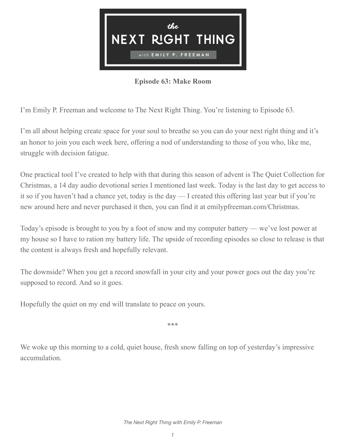

## **Episode 63: Make Room**

I'm Emily P. Freeman and welcome to The Next Right Thing. You're listening to Episode 63.

I'm all about helping create space for your soul to breathe so you can do your next right thing and it's an honor to join you each week here, offering a nod of understanding to those of you who, like me, struggle with decision fatigue.

One practical tool I've created to help with that during this season of advent is The Quiet Collection for Christmas, a 14 day audio devotional series I mentioned last week. Today is the last day to get access to it so if you haven't had a chance yet, today is the day — I created this offering last year but if you're new around here and never purchased it then, you can find it at emilypfreeman.com/Christmas.

Today's episode is brought to you by a foot of snow and my computer battery — we've lost power at my house so I have to ration my battery life. The upside of recording episodes so close to release is that the content is always fresh and hopefully relevant.

The downside? When you get a record snowfall in your city and your power goes out the day you're supposed to record. And so it goes.

Hopefully the quiet on my end will translate to peace on yours.

\*\*\*

We woke up this morning to a cold, quiet house, fresh snow falling on top of yesterday's impressive accumulation.

*The Next Right Thing with Emily P. Freeman*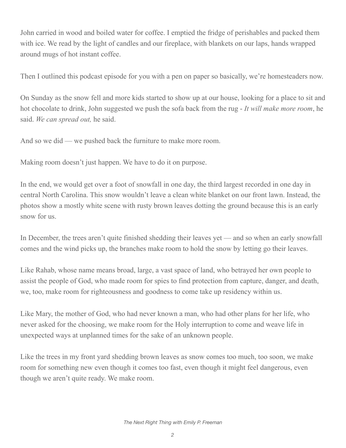John carried in wood and boiled water for coffee. I emptied the fridge of perishables and packed them with ice. We read by the light of candles and our fireplace, with blankets on our laps, hands wrapped around mugs of hot instant coffee.

Then I outlined this podcast episode for you with a pen on paper so basically, we're homesteaders now.

On Sunday as the snow fell and more kids started to show up at our house, looking for a place to sit and hot chocolate to drink, John suggested we push the sofa back from the rug - *It will make more room*, he said. *We can spread out,* he said.

And so we did — we pushed back the furniture to make more room.

Making room doesn't just happen. We have to do it on purpose.

In the end, we would get over a foot of snowfall in one day, the third largest recorded in one day in central North Carolina. This snow wouldn't leave a clean white blanket on our front lawn. Instead, the photos show a mostly white scene with rusty brown leaves dotting the ground because this is an early snow for us.

In December, the trees aren't quite finished shedding their leaves yet — and so when an early snowfall comes and the wind picks up, the branches make room to hold the snow by letting go their leaves.

Like Rahab, whose name means broad, large, a vast space of land, who betrayed her own people to assist the people of God, who made room for spies to find protection from capture, danger, and death, we, too, make room for righteousness and goodness to come take up residency within us.

Like Mary, the mother of God, who had never known a man, who had other plans for her life, who never asked for the choosing, we make room for the Holy interruption to come and weave life in unexpected ways at unplanned times for the sake of an unknown people.

Like the trees in my front yard shedding brown leaves as snow comes too much, too soon, we make room for something new even though it comes too fast, even though it might feel dangerous, even though we aren't quite ready. We make room.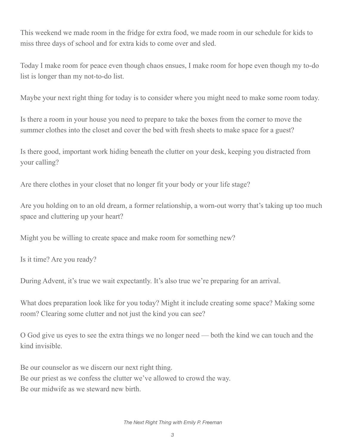This weekend we made room in the fridge for extra food, we made room in our schedule for kids to miss three days of school and for extra kids to come over and sled.

Today I make room for peace even though chaos ensues, I make room for hope even though my to-do list is longer than my not-to-do list.

Maybe your next right thing for today is to consider where you might need to make some room today.

Is there a room in your house you need to prepare to take the boxes from the corner to move the summer clothes into the closet and cover the bed with fresh sheets to make space for a guest?

Is there good, important work hiding beneath the clutter on your desk, keeping you distracted from your calling?

Are there clothes in your closet that no longer fit your body or your life stage?

Are you holding on to an old dream, a former relationship, a worn-out worry that's taking up too much space and cluttering up your heart?

Might you be willing to create space and make room for something new?

Is it time? Are you ready?

During Advent, it's true we wait expectantly. It's also true we're preparing for an arrival.

What does preparation look like for you today? Might it include creating some space? Making some room? Clearing some clutter and not just the kind you can see?

O God give us eyes to see the extra things we no longer need — both the kind we can touch and the kind invisible.

Be our counselor as we discern our next right thing. Be our priest as we confess the clutter we've allowed to crowd the way. Be our midwife as we steward new birth.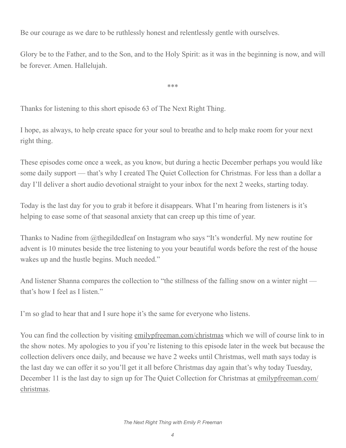Be our courage as we dare to be ruthlessly honest and relentlessly gentle with ourselves.

Glory be to the Father, and to the Son, and to the Holy Spirit: as it was in the beginning is now, and will be forever. Amen. Hallelujah.

\*\*\*

Thanks for listening to this short episode 63 of The Next Right Thing.

I hope, as always, to help create space for your soul to breathe and to help make room for your next right thing.

These episodes come once a week, as you know, but during a hectic December perhaps you would like some daily support — that's why I created The Quiet Collection for Christmas. For less than a dollar a day I'll deliver a short audio devotional straight to your inbox for the next 2 weeks, starting today.

Today is the last day for you to grab it before it disappears. What I'm hearing from listeners is it's helping to ease some of that seasonal anxiety that can creep up this time of year.

Thanks to Nadine from @thegildedleaf on Instagram who says "It's wonderful. My new routine for advent is 10 minutes beside the tree listening to you your beautiful words before the rest of the house wakes up and the hustle begins. Much needed."

And listener Shanna compares the collection to "the stillness of the falling snow on a winter night that's how I feel as I listen."

I'm so glad to hear that and I sure hope it's the same for everyone who listens.

You can find the collection by visiting [emilypfreeman.com/christmas](http://emilypfreeman.com/christmas) which we will of course link to in the show notes. My apologies to you if you're listening to this episode later in the week but because the collection delivers once daily, and because we have 2 weeks until Christmas, well math says today is the last day we can offer it so you'll get it all before Christmas day again that's why today Tuesday, December 11 is the last day to sign up for The Quiet Collection for Christmas at [emilypfreeman.com/](http://emilypfreeman.com/christmas) [christmas.](http://emilypfreeman.com/christmas)